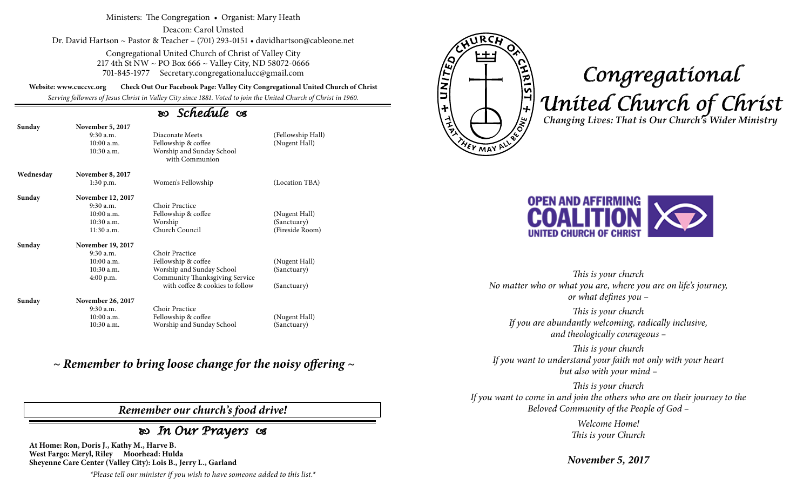#### Ministers: The Congregation • Organist: Mary Heath

Deacon: Carol Umsted Dr. David Hartson ~ Pastor & Teacher – (701) 293-0151 • davidhartson@cableone.net

> Congregational United Church of Christ of Valley City 217 4th St NW ~ PO Box 666 ~ Valley City, ND 58072-0666 701-845-1977 Secretary.congregationalucc@gmail.com

**Website: www.cuccvc.org Check Out Our Facebook Page: Valley City Congregational United Church of Christ**

*Serving followers of Jesus Christ in Valley City since 1881. Voted to join the United Church of Christ in 1960.*

## *Schedule*

| Sunday    | <b>November 5, 2017</b><br>$9:30$ a.m.<br>10:00a.m.<br>$10:30$ a.m. | Diaconate Meets<br>Fellowship & coffee<br>Worship and Sunday School<br>with Communion | (Fellowship Hall)<br>(Nugent Hall) |
|-----------|---------------------------------------------------------------------|---------------------------------------------------------------------------------------|------------------------------------|
| Wednesday | November 8, 2017                                                    |                                                                                       |                                    |
|           | 1:30 p.m.                                                           | Women's Fellowship                                                                    | (Location TBA)                     |
| Sunday    | November 12, 2017                                                   |                                                                                       |                                    |
|           | $9:30$ a.m.                                                         | Choir Practice                                                                        |                                    |
|           | $10:00$ a.m.                                                        | Fellowship & coffee                                                                   | (Nugent Hall)                      |
|           | $10:30$ a.m.                                                        | Worship                                                                               | (Sanctuary)                        |
|           | $11:30$ a.m.                                                        | Church Council                                                                        | (Fireside Room)                    |
| Sunday    | November 19, 2017                                                   |                                                                                       |                                    |
|           | $9:30$ a.m.                                                         | Choir Practice                                                                        |                                    |
|           | 10:00a.m.                                                           | Fellowship & coffee                                                                   | (Nugent Hall)                      |
|           | $10:30$ a.m.                                                        | Worship and Sunday School                                                             | (Sanctuary)                        |
|           | 4:00 p.m.                                                           | Community Thanksgiving Service                                                        |                                    |
|           |                                                                     | with coffee & cookies to follow                                                       | (Sanctuary)                        |
| Sunday    | November 26, 2017                                                   |                                                                                       |                                    |
|           | 9:30 a.m.                                                           | Choir Practice                                                                        |                                    |
|           | 10:00a.m.                                                           | Fellowship & coffee                                                                   | (Nugent Hall)                      |
|           | 10:30 a.m.                                                          | Worship and Sunday School                                                             | (Sanctuary)                        |

*~ Remember to bring loose change for the noisy offering ~*

### *Remember our church's food drive!*

## *In Our Prayers*

**At Home: Ron, Doris J., Kathy M., Harve B. West Fargo: Meryl, Riley Moorhead: Hulda Sheyenne Care Center (Valley City): Lois B., Jerry L., Garland**

*\*Please tell our minister if you wish to have someone added to this list.\**



# *Congregational United Church of Christ Changing Lives: That is Our Church's Wider Ministry*



*This is your church No matter who or what you are, where you are on life's journey, or what defines you –*

*This is your church If you are abundantly welcoming, radically inclusive, and theologically courageous –*

*This is your church If you want to understand your faith not only with your heart but also with your mind –*

*This is your church If you want to come in and join the others who are on their journey to the Beloved Community of the People of God –*

> *Welcome Home! This is your Church*

*November 5, 2017*